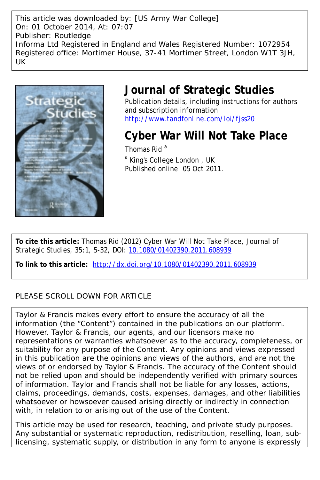This article was downloaded by: [US Army War College] On: 01 October 2014, At: 07:07 Publisher: Routledge Informa Ltd Registered in England and Wales Registered Number: 1072954 Registered office: Mortimer House, 37-41 Mortimer Street, London W1T 3JH, UK



# **Journal of Strategic Studies**

Publication details, including instructions for authors and subscription information: <http://www.tandfonline.com/loi/fjss20>

# **Cyber War Will Not Take Place**

Thomas Rid<sup>a</sup> <sup>a</sup> King's College London, UK Published online: 05 Oct 2011.

**To cite this article:** Thomas Rid (2012) Cyber War Will Not Take Place, Journal of Strategic Studies, 35:1, 5-32, DOI: [10.1080/01402390.2011.608939](http://www.tandfonline.com/action/showCitFormats?doi=10.1080/01402390.2011.608939)

**To link to this article:** <http://dx.doi.org/10.1080/01402390.2011.608939>

# PLEASE SCROLL DOWN FOR ARTICLE

Taylor & Francis makes every effort to ensure the accuracy of all the information (the "Content") contained in the publications on our platform. However, Taylor & Francis, our agents, and our licensors make no representations or warranties whatsoever as to the accuracy, completeness, or suitability for any purpose of the Content. Any opinions and views expressed in this publication are the opinions and views of the authors, and are not the views of or endorsed by Taylor & Francis. The accuracy of the Content should not be relied upon and should be independently verified with primary sources of information. Taylor and Francis shall not be liable for any losses, actions, claims, proceedings, demands, costs, expenses, damages, and other liabilities whatsoever or howsoever caused arising directly or indirectly in connection with, in relation to or arising out of the use of the Content.

This article may be used for research, teaching, and private study purposes. Any substantial or systematic reproduction, redistribution, reselling, loan, sublicensing, systematic supply, or distribution in any form to anyone is expressly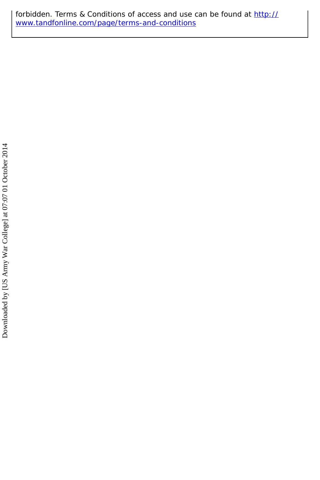forbidden. Terms & Conditions of access and use can be found at [http://](http://www.tandfonline.com/page/terms-and-conditions) [www.tandfonline.com/page/terms-and-conditions](http://www.tandfonline.com/page/terms-and-conditions)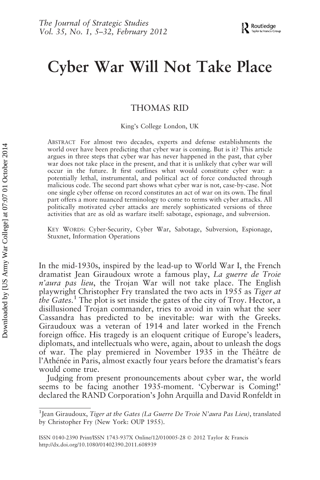# Cyber War Will Not Take Place

# THOMAS RID

King's College London, UK

ABSTRACT For almost two decades, experts and defense establishments the world over have been predicting that cyber war is coming. But is it? This article argues in three steps that cyber war has never happened in the past, that cyber war does not take place in the present, and that it is unlikely that cyber war will occur in the future. It first outlines what would constitute cyber war: a potentially lethal, instrumental, and political act of force conducted through malicious code. The second part shows what cyber war is not, case-by-case. Not one single cyber offense on record constitutes an act of war on its own. The final part offers a more nuanced terminology to come to terms with cyber attacks. All politically motivated cyber attacks are merely sophisticated versions of three activities that are as old as warfare itself: sabotage, espionage, and subversion.

KEY WORDS: Cyber-Security, Cyber War, Sabotage, Subversion, Espionage, Stuxnet, Information Operations

In the mid-1930s, inspired by the lead-up to World War I, the French dramatist Jean Giraudoux wrote a famous play, La guerre de Troie n'aura pas lieu, the Trojan War will not take place. The English playwright Christopher Fry translated the two acts in 1955 as Tiger at the Gates.<sup>1</sup> The plot is set inside the gates of the city of Troy. Hector, a disillusioned Trojan commander, tries to avoid in vain what the seer Cassandra has predicted to be inevitable: war with the Greeks. Giraudoux was a veteran of 1914 and later worked in the French foreign office. His tragedy is an eloquent critique of Europe's leaders, diplomats, and intellectuals who were, again, about to unleash the dogs of war. The play premiered in November 1935 in the Théâtre de l'Athénée in Paris, almost exactly four years before the dramatist's fears would come true.

Judging from present pronouncements about cyber war, the world seems to be facing another 1935-moment. 'Cyberwar is Coming!' declared the RAND Corporation's John Arquilla and David Ronfeldt in

<sup>&</sup>lt;sup>1</sup>Jean Giraudoux, *Tiger at the Gates (La Guerre De Troie N'aura Pas Lieu)*, translated by Christopher Fry (New York: OUP 1955).

ISSN 0140-2390 Print/ISSN 1743-937X Online/12/010005-28 © 2012 Taylor & Francis http://dx.doi.org/10.1080/01402390.2011.608939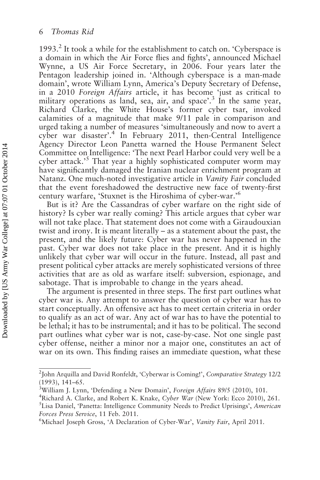1993.<sup>2</sup> It took a while for the establishment to catch on. 'Cyberspace is a domain in which the Air Force flies and fights', announced Michael Wynne, a US Air Force Secretary, in 2006. Four years later the Pentagon leadership joined in. 'Although cyberspace is a man-made domain', wrote William Lynn, America's Deputy Secretary of Defense, in a 2010 Foreign Affairs article, it has become 'just as critical to military operations as land, sea, air, and space'.<sup>3</sup> In the same year, Richard Clarke, the White House's former cyber tsar, invoked calamities of a magnitude that make 9/11 pale in comparison and urged taking a number of measures 'simultaneously and now to avert a cyber war disaster'.<sup>4</sup> In February 2011, then-Central Intelligence Agency Director Leon Panetta warned the House Permanent Select Committee on Intelligence: 'The next Pearl Harbor could very well be a cyber attack.'<sup>5</sup> That year a highly sophisticated computer worm may have significantly damaged the Iranian nuclear enrichment program at Natanz. One much-noted investigative article in Vanity Fair concluded that the event foreshadowed the destructive new face of twenty-first century warfare, 'Stuxnet is the Hiroshima of cyber-war.'<sup>6</sup>

But is it? Are the Cassandras of cyber warfare on the right side of history? Is cyber war really coming? This article argues that cyber war will not take place. That statement does not come with a Giraudouxian twist and irony. It is meant literally – as a statement about the past, the present, and the likely future: Cyber war has never happened in the past. Cyber war does not take place in the present. And it is highly unlikely that cyber war will occur in the future. Instead, all past and present political cyber attacks are merely sophisticated versions of three activities that are as old as warfare itself: subversion, espionage, and sabotage. That is improbable to change in the years ahead.

The argument is presented in three steps. The first part outlines what cyber war is. Any attempt to answer the question of cyber war has to start conceptually. An offensive act has to meet certain criteria in order to qualify as an act of war. Any act of war has to have the potential to be lethal; it has to be instrumental; and it has to be political. The second part outlines what cyber war is not, case-by-case. Not one single past cyber offense, neither a minor nor a major one, constitutes an act of war on its own. This finding raises an immediate question, what these

<sup>&</sup>lt;sup>2</sup>John Arquilla and David Ronfeldt, 'Cyberwar is Coming!', Comparative Strategy 12/2 (1993), 141–65.

<sup>&</sup>lt;sup>3</sup>William J. Lynn, 'Defending a New Domain', *Foreign Affairs 89/5* (2010), 101.<br><sup>4</sup>Richard A. Clarke, and Bobert K. Knake, *Cyber War* (New York: Ecco 2010).

<sup>&</sup>lt;sup>4</sup>Richard A. Clarke, and Robert K. Knake, Cyber War (New York: Ecco 2010), 261.

<sup>&</sup>lt;sup>3</sup>Lisa Daniel, 'Panetta: Intelligence Community Needs to Predict Uprisings', American Forces Press Service, 11 Feb. 2011.

<sup>&</sup>lt;sup>6</sup>Michael Joseph Gross, 'A Declaration of Cyber-War', Vanity Fair, April 2011.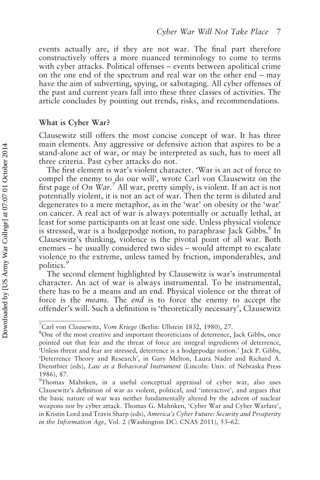events actually are, if they are not war. The final part therefore constructively offers a more nuanced terminology to come to terms with cyber attacks. Political offenses – events between apolitical crime on the one end of the spectrum and real war on the other end – may have the aim of subverting, spying, or sabotaging. All cyber offenses of the past and current years fall into these three classes of activities. The article concludes by pointing out trends, risks, and recommendations.

### What is Cyber War?

Clausewitz still offers the most concise concept of war. It has three main elements. Any aggressive or defensive action that aspires to be a stand-alone act of war, or may be interpreted as such, has to meet all three criteria. Past cyber attacks do not.

The first element is war's violent character. 'War is an act of force to compel the enemy to do our will', wrote Carl von Clausewitz on the first page of On  $\overset{\cdot}{W}ar. ^7$  All war, pretty simply, is violent. If an act is not potentially violent, it is not an act of war. Then the term is diluted and degenerates to a mere metaphor, as in the 'war' on obesity or the 'war' on cancer. A real act of war is always potentially or actually lethal, at least for some participants on at least one side. Unless physical violence is stressed, war is a hodgepodge notion, to paraphrase Jack Gibbs.<sup>8</sup> In Clausewitz's thinking, violence is the pivotal point of all war. Both enemies – he usually considered two sides – would attempt to escalate violence to the extreme, unless tamed by friction, imponderables, and politics.<sup>9</sup>

The second element highlighted by Clausewitz is war's instrumental character. An act of war is always instrumental. To be instrumental, there has to be a means and an end. Physical violence or the threat of force is the *means*. The *end* is to force the enemy to accept the offender's will. Such a definition is 'theoretically necessary', Clausewitz

<sup>&</sup>lt;sup>7</sup>Carl von Clausewitz, Vom Kriege (Berlin: Ullstein 1832, 1980), 27.<br><sup>8</sup>One of the most creative and important theoreticians of determines

<sup>&</sup>lt;sup>8</sup>One of the most creative and important theoreticians of deterrence, Jack Gibbs, once pointed out that fear and the threat of force are integral ingredients of deterrence, 'Unless threat and fear are stressed, deterrence is a hodgepodge notion.' Jack P. Gibbs, 'Deterrence Theory and Research', in Gary Melton, Laura Nader and Richard A. Dienstbier (eds), Law as a Behavioral Instrument (Lincoln: Univ. of Nebraska Press 1986), 87.

<sup>&</sup>lt;sup>9</sup>Thomas Mahnken, in a useful conceptual appraisal of cyber war, also uses Clausewitz's definition of war as violent, political, and 'interactive', and argues that the basic nature of war was neither fundamentally altered by the advent of nuclear weapons nor by cyber attack. Thomas G. Mahnken, 'Cyber War and Cyber Warfare', in Kristin Lord and Travis Sharp (eds), America's Cyber Future: Security and Prosperity in the Information Age, Vol. 2 (Washington DC: CNAS 2011), 53–62.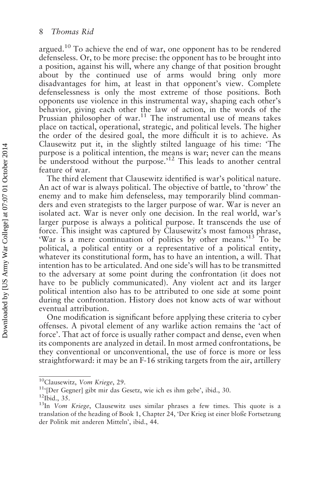argued.<sup>10</sup> To achieve the end of war, one opponent has to be rendered defenseless. Or, to be more precise: the opponent has to be brought into a position, against his will, where any change of that position brought about by the continued use of arms would bring only more disadvantages for him, at least in that opponent's view. Complete defenselessness is only the most extreme of those positions. Both opponents use violence in this instrumental way, shaping each other's behavior, giving each other the law of action, in the words of the Prussian philosopher of war.<sup>11</sup> The instrumental use of means takes place on tactical, operational, strategic, and political levels. The higher the order of the desired goal, the more difficult it is to achieve. As Clausewitz put it, in the slightly stilted language of his time: 'The purpose is a political intention, the means is war; never can the means be understood without the purpose.<sup>12</sup> This leads to another central feature of war.

The third element that Clausewitz identified is war's political nature. An act of war is always political. The objective of battle, to 'throw' the enemy and to make him defenseless, may temporarily blind commanders and even strategists to the larger purpose of war. War is never an isolated act. War is never only one decision. In the real world, war's larger purpose is always a political purpose. It transcends the use of force. This insight was captured by Clausewitz's most famous phrase, 'War is a mere continuation of politics by other means.'<sup>13</sup> To be political, a political entity or a representative of a political entity, whatever its constitutional form, has to have an intention, a will. That intention has to be articulated. And one side's will has to be transmitted to the adversary at some point during the confrontation (it does not have to be publicly communicated). Any violent act and its larger political intention also has to be attributed to one side at some point during the confrontation. History does not know acts of war without eventual attribution.

One modification is significant before applying these criteria to cyber offenses. A pivotal element of any warlike action remains the 'act of force'. That act of force is usually rather compact and dense, even when its components are analyzed in detail. In most armed confrontations, be they conventional or unconventional, the use of force is more or less straightforward: it may be an F-16 striking targets from the air, artillery

<sup>&</sup>lt;sup>10</sup>Clausewitz, *Vom Kriege*, 29.<br><sup>11</sup>'[Der Gegner] gibt mir das Gesetz, wie ich es ihm gebe', ibid., 30.<br><sup>12</sup>Ibid., 35. <sup>13</sup>In *Vom Kriege*, Clausewitz uses similar phrases a few times. This quote is a translation of the heading of Book 1, Chapter 24, 'Der Krieg ist einer bloße Fortsetzung der Politik mit anderen Mitteln', ibid., 44.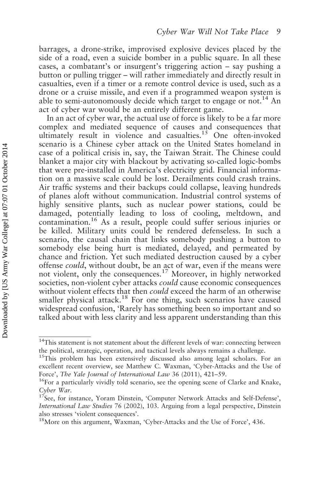barrages, a drone-strike, improvised explosive devices placed by the side of a road, even a suicide bomber in a public square. In all these cases, a combatant's or insurgent's triggering action – say pushing a button or pulling trigger – will rather immediately and directly result in casualties, even if a timer or a remote control device is used, such as a drone or a cruise missile, and even if a programmed weapon system is able to semi-autonomously decide which target to engage or not.<sup>14</sup> An act of cyber war would be an entirely different game.

In an act of cyber war, the actual use of force is likely to be a far more complex and mediated sequence of causes and consequences that ultimately result in violence and casualties.<sup>15</sup> One often-invoked scenario is a Chinese cyber attack on the United States homeland in case of a political crisis in, say, the Taiwan Strait. The Chinese could blanket a major city with blackout by activating so-called logic-bombs that were pre-installed in America's electricity grid. Financial information on a massive scale could be lost. Derailments could crash trains. Air traffic systems and their backups could collapse, leaving hundreds of planes aloft without communication. Industrial control systems of highly sensitive plants, such as nuclear power stations, could be damaged, potentially leading to loss of cooling, meltdown, and contamination.<sup>16</sup> As a result, people could suffer serious injuries or be killed. Military units could be rendered defenseless. In such a scenario, the causal chain that links somebody pushing a button to somebody else being hurt is mediated, delayed, and permeated by chance and friction. Yet such mediated destruction caused by a cyber offense *could*, without doubt, be an act of war, even if the means were not violent, only the consequences.<sup>17</sup> Moreover, in highly networked societies, non-violent cyber attacks *could* cause economic consequences without violent effects that then *could* exceed the harm of an otherwise smaller physical attack.<sup>18</sup> For one thing, such scenarios have caused widespread confusion, 'Rarely has something been so important and so talked about with less clarity and less apparent understanding than this

<sup>&</sup>lt;sup>14</sup>This statement is not statement about the different levels of war: connecting between the political, strategic, operation, and tactical levels always remains a challenge.

<sup>&</sup>lt;sup>15</sup>This problem has been extensively discussed also among legal scholars. For an excellent recent overview, see Matthew C. Waxman, 'Cyber-Attacks and the Use of Force', *The Yale Journal of International Law* 36 (2011), 421–59. <sup>16</sup>For a particularly vividly told scenario, see the opening scene of Clarke and Knake,

Cyber War.<br><sup>17</sup>See, for instance, Yoram Dinstein, 'Computer Network Attacks and Self-Defense', International Law Studies 76 (2002), 103. Arguing from a legal perspective, Dinstein also stresses 'violent consequences'.

 $18$ More on this argument, Waxman, 'Cyber-Attacks and the Use of Force', 436.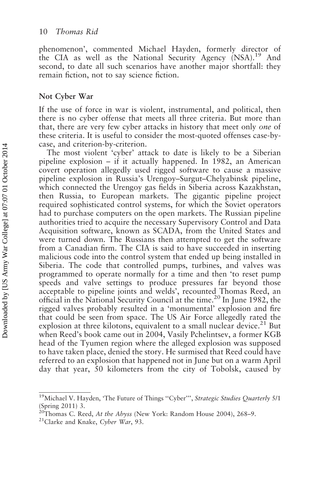phenomenon', commented Michael Hayden, formerly director of the CIA as well as the National Security Agency (NSA).<sup>19</sup> And second, to date all such scenarios have another major shortfall: they remain fiction, not to say science fiction.

## Not Cyber War

If the use of force in war is violent, instrumental, and political, then there is no cyber offense that meets all three criteria. But more than that, there are very few cyber attacks in history that meet only one of these criteria. It is useful to consider the most-quoted offenses case-bycase, and criterion-by-criterion.

The most violent 'cyber' attack to date is likely to be a Siberian pipeline explosion – if it actually happened. In 1982, an American covert operation allegedly used rigged software to cause a massive pipeline explosion in Russia's Urengoy–Surgut–Chelyabinsk pipeline, which connected the Urengoy gas fields in Siberia across Kazakhstan, then Russia, to European markets. The gigantic pipeline project required sophisticated control systems, for which the Soviet operators had to purchase computers on the open markets. The Russian pipeline authorities tried to acquire the necessary Supervisory Control and Data Acquisition software, known as SCADA, from the United States and were turned down. The Russians then attempted to get the software from a Canadian firm. The CIA is said to have succeeded in inserting malicious code into the control system that ended up being installed in Siberia. The code that controlled pumps, turbines, and valves was programmed to operate normally for a time and then 'to reset pump speeds and valve settings to produce pressures far beyond those acceptable to pipeline joints and welds', recounted Thomas Reed, an official in the National Security Council at the time.20 In June 1982, the rigged valves probably resulted in a 'monumental' explosion and fire that could be seen from space. The US Air Force allegedly rated the explosion at three kilotons, equivalent to a small nuclear device.<sup>21</sup> But when Reed's book came out in 2004, Vasily Pchelintsev, a former KGB head of the Tyumen region where the alleged explosion was supposed to have taken place, denied the story. He surmised that Reed could have referred to an explosion that happened not in June but on a warm April day that year, 50 kilometers from the city of Tobolsk, caused by

<sup>&</sup>lt;sup>19</sup>Michael V. Hayden, 'The Future of Things "Cyber"', Strategic Studies Quarterly 5/1 (Spring 2011) 3.

<sup>&</sup>lt;sup>20</sup>Thomas C. Reed, *At the Abyss* (New York: Random House 2004), 268–9.<br><sup>21</sup>Clarke and Knake, Cyber War, 93.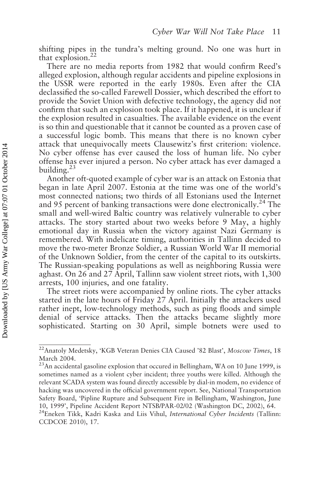shifting pipes in the tundra's melting ground. No one was hurt in that explosion.<sup>22</sup>

There are no media reports from 1982 that would confirm Reed's alleged explosion, although regular accidents and pipeline explosions in the USSR were reported in the early 1980s. Even after the CIA declassified the so-called Farewell Dossier, which described the effort to provide the Soviet Union with defective technology, the agency did not confirm that such an explosion took place. If it happened, it is unclear if the explosion resulted in casualties. The available evidence on the event is so thin and questionable that it cannot be counted as a proven case of a successful logic bomb. This means that there is no known cyber attack that unequivocally meets Clausewitz's first criterion: violence. No cyber offense has ever caused the loss of human life. No cyber offense has ever injured a person. No cyber attack has ever damaged a building.<sup>23</sup>

Another oft-quoted example of cyber war is an attack on Estonia that began in late April 2007. Estonia at the time was one of the world's most connected nations; two thirds of all Estonians used the Internet and 95 percent of banking transactions were done electronically.<sup>24</sup> The small and well-wired Baltic country was relatively vulnerable to cyber attacks. The story started about two weeks before 9 May, a highly emotional day in Russia when the victory against Nazi Germany is remembered. With indelicate timing, authorities in Tallinn decided to move the two-meter Bronze Soldier, a Russian World War II memorial of the Unknown Soldier, from the center of the capital to its outskirts. The Russian-speaking populations as well as neighboring Russia were aghast. On 26 and 27 April, Tallinn saw violent street riots, with 1,300 arrests, 100 injuries, and one fatality.

The street riots were accompanied by online riots. The cyber attacks started in the late hours of Friday 27 April. Initially the attackers used rather inept, low-technology methods, such as ping floods and simple denial of service attacks. Then the attacks became slightly more sophisticated. Starting on 30 April, simple botnets were used to

<sup>&</sup>lt;sup>22</sup> Anatoly Medetsky, 'KGB Veteran Denies CIA Caused '82 Blast', Moscow Times, 18 March 2004.

 $23$ An accidental gasoline explosion that occured in Bellingham, WA on 10 June 1999, is sometimes named as a violent cyber incident; three youths were killed. Although the relevant SCADA system was found directly accessible by dial-in modem, no evidence of hacking was uncovered in the official government report. See, National Transportation Safety Board, 'Pipline Rupture and Subsequent Fire in Bellingham, Washington, June 10, 1999', Pipeline Accident Report NTSB/PAR-02/02 (Washington DC, 2002), 64.

<sup>&</sup>lt;sup>24</sup>Eneken Tikk, Kadri Kaska and Liis Vihul, International Cyber Incidents (Tallinn: CCDCOE 2010), 17.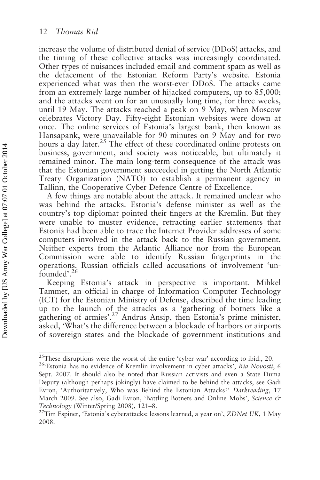increase the volume of distributed denial of service (DDoS) attacks, and the timing of these collective attacks was increasingly coordinated. Other types of nuisances included email and comment spam as well as the defacement of the Estonian Reform Party's website. Estonia experienced what was then the worst-ever DDoS. The attacks came from an extremely large number of hijacked computers, up to 85,000; and the attacks went on for an unusually long time, for three weeks, until 19 May. The attacks reached a peak on 9 May, when Moscow celebrates Victory Day. Fifty-eight Estonian websites were down at once. The online services of Estonia's largest bank, then known as Hansapank, were unavailable for 90 minutes on 9 May and for two hours a day later.<sup>25</sup> The effect of these coordinated online protests on business, government, and society was noticeable, but ultimately it remained minor. The main long-term consequence of the attack was that the Estonian government succeeded in getting the North Atlantic Treaty Organization (NATO) to establish a permanent agency in Tallinn, the Cooperative Cyber Defence Centre of Excellence.

A few things are notable about the attack. It remained unclear who was behind the attacks. Estonia's defense minister as well as the country's top diplomat pointed their fingers at the Kremlin. But they were unable to muster evidence, retracting earlier statements that Estonia had been able to trace the Internet Provider addresses of some computers involved in the attack back to the Russian government. Neither experts from the Atlantic Alliance nor from the European Commission were able to identify Russian fingerprints in the operations. Russian officials called accusations of involvement 'unfounded'.26

Keeping Estonia's attack in perspective is important. Mihkel Tammet, an official in charge of Information Computer Technology (ICT) for the Estonian Ministry of Defense, described the time leading up to the launch of the attacks as a 'gathering of botnets like a gathering of armies'.<sup>27</sup> Andrus Ansip, then Estonia's prime minister, asked, 'What's the difference between a blockade of harbors or airports of sovereign states and the blockade of government institutions and

<sup>&</sup>lt;sup>25</sup>These disruptions were the worst of the entire 'cyber war' according to ibid., 20.  $^{26}$ 'Estonia has no evidence of Kremlin involvement in cyber attacks', *Ria Novosti*, 6 Sept. 2007. It should also be noted that Russian activists and even a State Duma Deputy (although perhaps jokingly) have claimed to be behind the attacks, see Gadi Evron, 'Authoritatively, Who was Behind the Estonian Attacks?' Darkreading, 17 March 2009. See also, Gadi Evron, 'Battling Botnets and Online Mobs', Science & Technology (Winter/Spring 2008), 121–8.<br><sup>27</sup>Tim Espiner, 'Estonia's cyberattacks: lessons learned, a year on', ZDNet UK, 1 May

<sup>2008.</sup>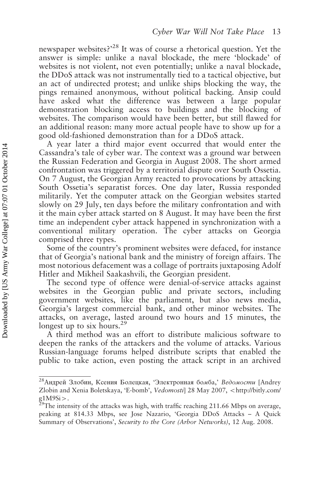newspaper websites?<sup>'28</sup> It was of course a rhetorical question. Yet the answer is simple: unlike a naval blockade, the mere 'blockade' of websites is not violent, not even potentially; unlike a naval blockade, the DDoS attack was not instrumentally tied to a tactical objective, but an act of undirected protest; and unlike ships blocking the way, the pings remained anonymous, without political backing. Ansip could have asked what the difference was between a large popular demonstration blocking access to buildings and the blocking of websites. The comparison would have been better, but still flawed for an additional reason: many more actual people have to show up for a good old-fashioned demonstration than for a DDoS attack.

A year later a third major event occurred that would enter the Cassandra's tale of cyber war. The context was a ground war between the Russian Federation and Georgia in August 2008. The short armed confrontation was triggered by a territorial dispute over South Ossetia. On 7 August, the Georgian Army reacted to provocations by attacking South Ossetia's separatist forces. One day later, Russia responded militarily. Yet the computer attack on the Georgian websites started slowly on 29 July, ten days before the military confrontation and with it the main cyber attack started on 8 August. It may have been the first time an independent cyber attack happened in synchronization with a conventional military operation. The cyber attacks on Georgia comprised three types.

Some of the country's prominent websites were defaced, for instance that of Georgia's national bank and the ministry of foreign affairs. The most notorious defacement was a collage of portraits juxtaposing Adolf Hitler and Mikheil Saakashvili, the Georgian president.

The second type of offence were denial-of-service attacks against websites in the Georgian public and private sectors, including government websites, like the parliament, but also news media, Georgia's largest commercial bank, and other minor websites. The attacks, on average, lasted around two hours and 15 minutes, the longest up to six hours.<sup>29</sup>

A third method was an effort to distribute malicious software to deepen the ranks of the attackers and the volume of attacks. Various Russian-language forums helped distribute scripts that enabled the public to take action, even posting the attack script in an archived

<sup>&</sup>lt;sup>28</sup>Андрей Злобин, Ксения Болецкая, 'Электронная бомба,' Ведомости [Andrey Zlobin and Xenia Boletskaya, 'E-bomb', Vedomosti] 28 May 2007, <[http://bitly.com/](http://bitly.com/g1M9Si)

[g1M9Si](http://bitly.com/g1M9Si) >.<br><sup>29</sup>The intensity of the attacks was high, with traffic reaching 211.66 Mbps on average, peaking at 814.33 Mbps, see Jose Nazario, 'Georgia DDoS Attacks – A Quick Summary of Observations', Security to the Core (Arbor Networks), 12 Aug. 2008.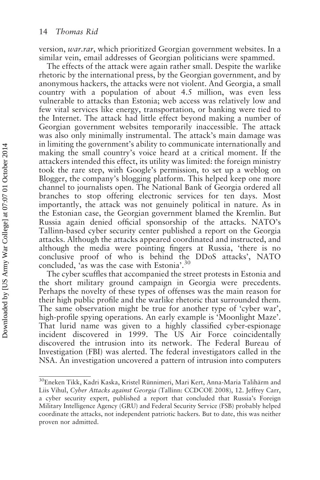version, war.rar, which prioritized Georgian government websites. In a similar vein, email addresses of Georgian politicians were spammed.

The effects of the attack were again rather small. Despite the warlike rhetoric by the international press, by the Georgian government, and by anonymous hackers, the attacks were not violent. And Georgia, a small country with a population of about 4.5 million, was even less vulnerable to attacks than Estonia; web access was relatively low and few vital services like energy, transportation, or banking were tied to the Internet. The attack had little effect beyond making a number of Georgian government websites temporarily inaccessible. The attack was also only minimally instrumental. The attack's main damage was in limiting the government's ability to communicate internationally and making the small country's voice heard at a critical moment. If the attackers intended this effect, its utility was limited: the foreign ministry took the rare step, with Google's permission, to set up a weblog on Blogger, the company's blogging platform. This helped keep one more channel to journalists open. The National Bank of Georgia ordered all branches to stop offering electronic services for ten days. Most importantly, the attack was not genuinely political in nature. As in the Estonian case, the Georgian government blamed the Kremlin. But Russia again denied official sponsorship of the attacks. NATO's Tallinn-based cyber security center published a report on the Georgia attacks. Although the attacks appeared coordinated and instructed, and although the media were pointing fingers at Russia, 'there is no conclusive proof of who is behind the DDoS attacks', NATO concluded, 'as was the case with Estonia'.30

The cyber scuffles that accompanied the street protests in Estonia and the short military ground campaign in Georgia were precedents. Perhaps the novelty of these types of offenses was the main reason for their high public profile and the warlike rhetoric that surrounded them. The same observation might be true for another type of 'cyber war', high-profile spying operations. An early example is 'Moonlight Maze'. That lurid name was given to a highly classified cyber-espionage incident discovered in 1999. The US Air Force coincidentally discovered the intrusion into its network. The Federal Bureau of Investigation (FBI) was alerted. The federal investigators called in the NSA. An investigation uncovered a pattern of intrusion into computers

<sup>&</sup>lt;sup>30</sup>Eneken Tikk, Kadri Kaska, Kristel Rünnimeri, Mari Kert, Anna-Maria Talihärm and Liis Vihul, Cyber Attacks against Georgia (Tallinn: CCDCOE 2008), 12. Jeffrey Carr, a cyber security expert, published a report that concluded that Russia's Foreign Military Intelligence Agency (GRU) and Federal Security Service (FSB) probably helped coordinate the attacks, not independent patriotic hackers. But to date, this was neither proven nor admitted.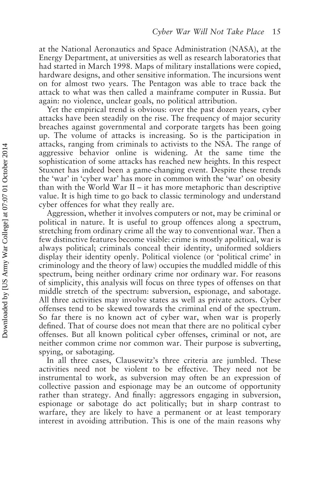at the National Aeronautics and Space Administration (NASA), at the Energy Department, at universities as well as research laboratories that had started in March 1998. Maps of military installations were copied, hardware designs, and other sensitive information. The incursions went on for almost two years. The Pentagon was able to trace back the attack to what was then called a mainframe computer in Russia. But again: no violence, unclear goals, no political attribution.

Yet the empirical trend is obvious: over the past dozen years, cyber attacks have been steadily on the rise. The frequency of major security breaches against governmental and corporate targets has been going up. The volume of attacks is increasing. So is the participation in attacks, ranging from criminals to activists to the NSA. The range of aggressive behavior online is widening. At the same time the sophistication of some attacks has reached new heights. In this respect Stuxnet has indeed been a game-changing event. Despite these trends the 'war' in 'cyber war' has more in common with the 'war' on obesity than with the World War II – it has more metaphoric than descriptive value. It is high time to go back to classic terminology and understand cyber offences for what they really are.

Aggression, whether it involves computers or not, may be criminal or political in nature. It is useful to group offences along a spectrum, stretching from ordinary crime all the way to conventional war. Then a few distinctive features become visible: crime is mostly apolitical, war is always political; criminals conceal their identity, uniformed soldiers display their identity openly. Political violence (or 'political crime' in criminology and the theory of law) occupies the muddled middle of this spectrum, being neither ordinary crime nor ordinary war. For reasons of simplicity, this analysis will focus on three types of offenses on that middle stretch of the spectrum: subversion, espionage, and sabotage. All three activities may involve states as well as private actors. Cyber offenses tend to be skewed towards the criminal end of the spectrum. So far there is no known act of cyber war, when war is properly defined. That of course does not mean that there are no political cyber offenses. But all known political cyber offenses, criminal or not, are neither common crime nor common war. Their purpose is subverting, spying, or sabotaging.

In all three cases, Clausewitz's three criteria are jumbled. These activities need not be violent to be effective. They need not be instrumental to work, as subversion may often be an expression of collective passion and espionage may be an outcome of opportunity rather than strategy. And finally: aggressors engaging in subversion, espionage or sabotage do act politically; but in sharp contrast to warfare, they are likely to have a permanent or at least temporary interest in avoiding attribution. This is one of the main reasons why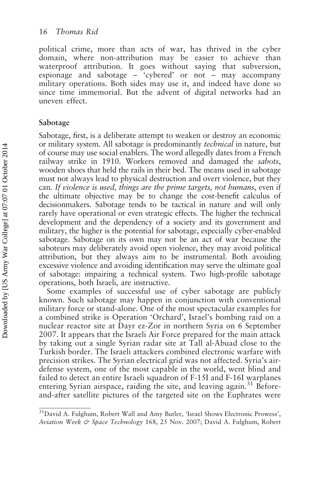political crime, more than acts of war, has thrived in the cyber domain, where non-attribution may be easier to achieve than waterproof attribution. It goes without saying that subversion, espionage and sabotage – 'cybered' or not – may accompany military operations. Both sides may use it, and indeed have done so since time immemorial. But the advent of digital networks had an uneven effect.

# Sabotage

Sabotage, first, is a deliberate attempt to weaken or destroy an economic or military system. All sabotage is predominantly technical in nature, but of course may use social enablers. The word allegedly dates from a French railway strike in 1910. Workers removed and damaged the *sabots*, wooden shoes that held the rails in their bed. The means used in sabotage must not always lead to physical destruction and overt violence, but they can. If violence is used, things are the prime targets, not humans, even if the ultimate objective may be to change the cost-benefit calculus of decisionmakers. Sabotage tends to be tactical in nature and will only rarely have operational or even strategic effects. The higher the technical development and the dependency of a society and its government and military, the higher is the potential for sabotage, especially cyber-enabled sabotage. Sabotage on its own may not be an act of war because the saboteurs may deliberately avoid open violence, they may avoid political attribution, but they always aim to be instrumental. Both avoiding excessive violence and avoiding identification may serve the ultimate goal of sabotage: impairing a technical system. Two high-profile sabotage operations, both Israeli, are instructive.

Some examples of successful use of cyber sabotage are publicly known. Such sabotage may happen in conjunction with conventional military force or stand-alone. One of the most spectacular examples for a combined strike is Operation 'Orchard', Israel's bombing raid on a nuclear reactor site at Dayr ez-Zor in northern Syria on 6 September 2007. It appears that the Israeli Air Force prepared for the main attack by taking out a single Syrian radar site at Tall al-Abuad close to the Turkish border. The Israeli attackers combined electronic warfare with precision strikes. The Syrian electrical grid was not affected. Syria's airdefense system, one of the most capable in the world, went blind and failed to detect an entire Israeli squadron of F-15I and F-16I warplanes entering Syrian airspace, raiding the site, and leaving again.<sup>31</sup> Beforeand-after satellite pictures of the targeted site on the Euphrates were

<sup>&</sup>lt;sup>31</sup>David A. Fulghum, Robert Wall and Amy Butler, 'Israel Shows Electronic Prowess', Aviation Week & Space Technology 168, 25 Nov. 2007; David A. Fulghum, Robert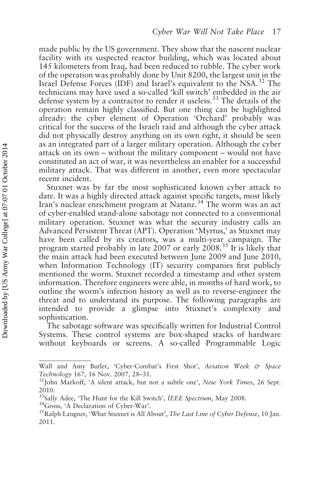made public by the US government. They show that the nascent nuclear facility with its suspected reactor building, which was located about 145 kilometers from Iraq, had been reduced to rubble. The cyber work of the operation was probably done by Unit 8200, the largest unit in the Israel Defense Forces (IDF) and Israel's equivalent to the NSA.32 The technicians may have used a so-called 'kill switch' embedded in the air defense system by a contractor to render it useless.<sup>33</sup> The details of the operation remain highly classified. But one thing can be highlighted already: the cyber element of Operation 'Orchard' probably was critical for the success of the Israeli raid and although the cyber attack did not physically destroy anything on its own right, it should be seen as an integrated part of a larger military operation. Although the cyber attack on its own – without the military component – would not have constituted an act of war, it was nevertheless an enabler for a successful military attack. That was different in another, even more spectacular recent incident.

Stuxnet was by far the most sophisticated known cyber attack to date. It was a highly directed attack against specific targets, most likely Iran's nuclear enrichment program at Natanz.34 The worm was an act of cyber-enabled stand-alone sabotage not connected to a conventional military operation. Stuxnet was what the security industry calls an Advanced Persistent Threat (APT). Operation 'Myrtus,' as Stuxnet may have been called by its creators, was a multi-year campaign. The program started probably in late 2007 or early 2008.35 It is likely that the main attack had been executed between June 2009 and June 2010, when Information Technology (IT) security companies first publicly mentioned the worm. Stuxnet recorded a timestamp and other system information. Therefore engineers were able, in months of hard work, to outline the worm's infection history as well as to reverse-engineer the threat and to understand its purpose. The following paragraphs are intended to provide a glimpse into Stuxnet's complexity and sophistication.

The sabotage software was specifically written for Industrial Control Systems. These control systems are box-shaped stacks of hardware without keyboards or screens. A so-called Programmable Logic

Wall and Amy Butler, 'Cyber-Combat's First Shot', Aviation Week & Space Technology 167, 16 Nov. 2007, 28–31.<br><sup>32</sup>John Markoff, 'A silent attack, but not a subtle one', New York Times, 26 Sept.

<sup>2010.</sup>

<sup>&</sup>lt;sup>33</sup>Sally Adee, 'The Hunt for the Kill Switch', *IEEE Spectrum*, May 2008.<br><sup>34</sup>Gross, 'A Declaration of Cyber-War'.<br><sup>35</sup>Ralph Langner, 'What Stuxnet is All About', *The Last Line of Cyber Defense*, 10 Jan.

<sup>2011.</sup>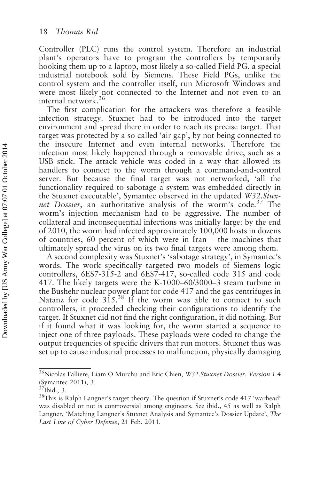Controller (PLC) runs the control system. Therefore an industrial plant's operators have to program the controllers by temporarily hooking them up to a laptop, most likely a so-called Field PG, a special industrial notebook sold by Siemens. These Field PGs, unlike the control system and the controller itself, run Microsoft Windows and were most likely not connected to the Internet and not even to an internal network.36

The first complication for the attackers was therefore a feasible infection strategy. Stuxnet had to be introduced into the target environment and spread there in order to reach its precise target. That target was protected by a so-called 'air gap', by not being connected to the insecure Internet and even internal networks. Therefore the infection most likely happened through a removable drive, such as a USB stick. The attack vehicle was coded in a way that allowed its handlers to connect to the worm through a command-and-control server. But because the final target was not networked, 'all the functionality required to sabotage a system was embedded directly in the Stuxnet executable', Symantec observed in the updated W32.Stuxnet Dossier, an authoritative analysis of the worm's code.<sup>37</sup> The worm's injection mechanism had to be aggressive. The number of collateral and inconsequential infections was initially large: by the end of 2010, the worm had infected approximately 100,000 hosts in dozens of countries, 60 percent of which were in Iran – the machines that ultimately spread the virus on its two final targets were among them.

A second complexity was Stuxnet's 'sabotage strategy', in Symantec's words. The work specifically targeted two models of Siemens logic controllers, 6ES7-315-2 and 6ES7-417, so-called code 315 and code 417. The likely targets were the K-1000–60/3000–3 steam turbine in the Bushehr nuclear power plant for code 417 and the gas centrifuges in Natanz for code  $315.^{38}$  If the worm was able to connect to such controllers, it proceeded checking their configurations to identify the target. If Stuxnet did not find the right configuration, it did nothing. But if it found what it was looking for, the worm started a sequence to inject one of three payloads. These payloads were coded to change the output frequencies of specific drivers that run motors. Stuxnet thus was set up to cause industrial processes to malfunction, physically damaging

<sup>&</sup>lt;sup>36</sup>Nicolas Falliere, Liam O Murchu and Eric Chien, W32.Stuxnet Dossier. Version 1.4 (Symantec 2011), 3.<br><sup>37</sup>Ibid., 3.

 $38$ This is Ralph Langner's target theory. The question if Stuxnet's code 417 'warhead' was disabled or not is controversial among engineers. See ibid., 45 as well as Ralph Langner, 'Matching Langner's Stuxnet Analysis and Symantec's Dossier Update', The Last Line of Cyber Defense, 21 Feb. 2011.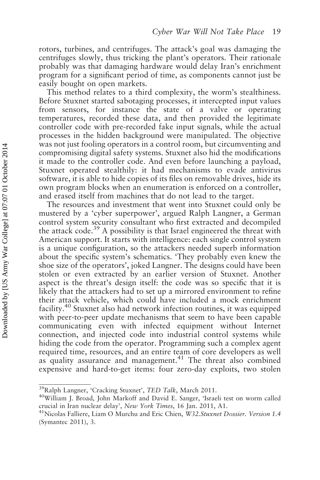rotors, turbines, and centrifuges. The attack's goal was damaging the centrifuges slowly, thus tricking the plant's operators. Their rationale probably was that damaging hardware would delay Iran's enrichment program for a significant period of time, as components cannot just be easily bought on open markets.

This method relates to a third complexity, the worm's stealthiness. Before Stuxnet started sabotaging processes, it intercepted input values from sensors, for instance the state of a valve or operating temperatures, recorded these data, and then provided the legitimate controller code with pre-recorded fake input signals, while the actual processes in the hidden background were manipulated. The objective was not just fooling operators in a control room, but circumventing and compromising digital safety systems. Stuxnet also hid the modifications it made to the controller code. And even before launching a payload, Stuxnet operated stealthily: it had mechanisms to evade antivirus software, it is able to hide copies of its files on removable drives, hide its own program blocks when an enumeration is enforced on a controller, and erased itself from machines that do not lead to the target.

The resources and investment that went into Stuxnet could only be mustered by a 'cyber superpower', argued Ralph Langner, a German control system security consultant who first extracted and decompiled the attack code.<sup>39</sup> A possibility is that Israel engineered the threat with American support. It starts with intelligence: each single control system is a unique configuration, so the attackers needed superb information about the specific system's schematics. 'They probably even knew the shoe size of the operators', joked Langner. The designs could have been stolen or even extracted by an earlier version of Stuxnet. Another aspect is the threat's design itself: the code was so specific that it is likely that the attackers had to set up a mirrored environment to refine their attack vehicle, which could have included a mock enrichment facility.40 Stuxnet also had network infection routines, it was equipped with peer-to-peer update mechanisms that seem to have been capable communicating even with infected equipment without Internet connection, and injected code into industrial control systems while hiding the code from the operator. Programming such a complex agent required time, resources, and an entire team of core developers as well as quality assurance and management.<sup>41</sup> The threat also combined expensive and hard-to-get items: four zero-day exploits, two stolen

<sup>&</sup>lt;sup>39</sup>Ralph Langner, 'Cracking Stuxnet', *TED Talk*, March 2011.<br><sup>40</sup>William J. Broad, John Markoff and David E. Sanger, 'Israeli test on worm called crucial in Iran nuclear delay', New York Times, 16 Jan. 2011, A1.<br><sup>41</sup>Nicolas Falliere, Liam O Murchu and Eric Chien, W32.Stuxnet Dossier. Version 1.4

<sup>(</sup>Symantec 2011), 3.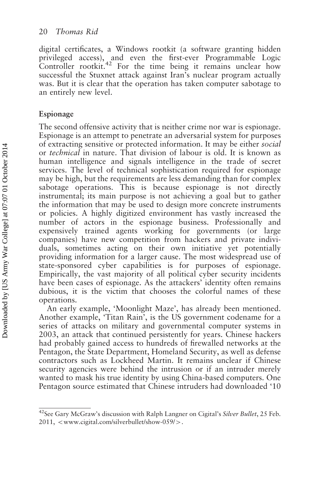digital certificates, a Windows rootkit (a software granting hidden privileged access), and even the first-ever Programmable Logic Controller rootkit.<sup>42</sup> For the time being it remains unclear how successful the Stuxnet attack against Iran's nuclear program actually was. But it is clear that the operation has taken computer sabotage to an entirely new level.

# Espionage

The second offensive activity that is neither crime nor war is espionage. Espionage is an attempt to penetrate an adversarial system for purposes of extracting sensitive or protected information. It may be either social or technical in nature. That division of labour is old. It is known as human intelligence and signals intelligence in the trade of secret services. The level of technical sophistication required for espionage may be high, but the requirements are less demanding than for complex sabotage operations. This is because espionage is not directly instrumental; its main purpose is not achieving a goal but to gather the information that may be used to design more concrete instruments or policies. A highly digitized environment has vastly increased the number of actors in the espionage business. Professionally and expensively trained agents working for governments (or large companies) have new competition from hackers and private individuals, sometimes acting on their own initiative yet potentially providing information for a larger cause. The most widespread use of state-sponsored cyber capabilities is for purposes of espionage. Empirically, the vast majority of all political cyber security incidents have been cases of espionage. As the attackers' identity often remains dubious, it is the victim that chooses the colorful names of these operations.

An early example, 'Moonlight Maze', has already been mentioned. Another example, 'Titan Rain', is the US government codename for a series of attacks on military and governmental computer systems in 2003, an attack that continued persistently for years. Chinese hackers had probably gained access to hundreds of firewalled networks at the Pentagon, the State Department, Homeland Security, as well as defense contractors such as Lockheed Martin. It remains unclear if Chinese security agencies were behind the intrusion or if an intruder merely wanted to mask his true identity by using China-based computers. One Pentagon source estimated that Chinese intruders had downloaded '10

 $42$ See Gary McGraw's discussion with Ralph Langner on Cigital's Silver Bullet, 25 Feb.  $2011, \leq$ [www.cigital.com/silverbullet/show-059/](http://www.cigital.com/silverbullet/show-059/) $>$ .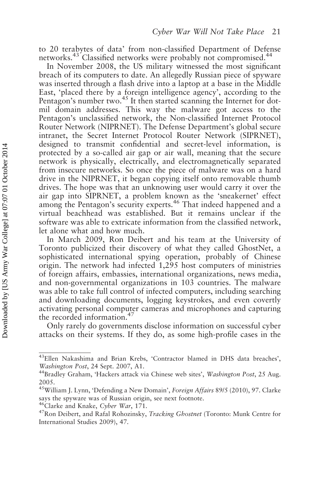to 20 terabytes of data' from non-classified Department of Defense networks.<sup>43</sup> Classified networks were probably not compromised.<sup>44</sup>

In November 2008, the US military witnessed the most significant breach of its computers to date. An allegedly Russian piece of spyware was inserted through a flash drive into a laptop at a base in the Middle East, 'placed there by a foreign intelligence agency', according to the Pentagon's number two.<sup>45</sup> It then started scanning the Internet for dotmil domain addresses. This way the malware got access to the Pentagon's unclassified network, the Non-classified Internet Protocol Router Network (NIPRNET). The Defense Department's global secure intranet, the Secret Internet Protocol Router Network (SIPRNET), designed to transmit confidential and secret-level information, is protected by a so-called air gap or air wall, meaning that the secure network is physically, electrically, and electromagnetically separated from insecure networks. So once the piece of malware was on a hard drive in the NIPRNET, it began copying itself onto removable thumb drives. The hope was that an unknowing user would carry it over the air gap into SIPRNET, a problem known as the 'sneakernet' effect among the Pentagon's security experts.<sup>46</sup> That indeed happened and a virtual beachhead was established. But it remains unclear if the software was able to extricate information from the classified network, let alone what and how much.

In March 2009, Ron Deibert and his team at the University of Toronto publicized their discovery of what they called GhostNet, a sophisticated international spying operation, probably of Chinese origin. The network had infected 1,295 host computers of ministries of foreign affairs, embassies, international organizations, news media, and non-governmental organizations in 103 countries. The malware was able to take full control of infected computers, including searching and downloading documents, logging keystrokes, and even covertly activating personal computer cameras and microphones and capturing the recorded information.47

Only rarely do governments disclose information on successful cyber attacks on their systems. If they do, as some high-profile cases in the

<sup>43</sup>Ellen Nakashima and Brian Krebs, 'Contractor blamed in DHS data breaches', Washington Post, 24 Sept. 2007, A1.<br><sup>44</sup>Bradley Graham, 'Hackers attack via Chinese web sites', Washington Post, 25 Aug.

<sup>2005.</sup>

<sup>45</sup>William J. Lynn, 'Defending a New Domain', Foreign Affairs 89/5 (2010), 97. Clarke says the spyware was of Russian origin, see next footnote.

<sup>&</sup>lt;sup>46</sup>Clarke and Knake, Cyber War, 171.<br><sup>47</sup>Ron Deibert, and Rafal Rohozinsky, *Tracking Ghostnet* (Toronto: Munk Centre for International Studies 2009), 47.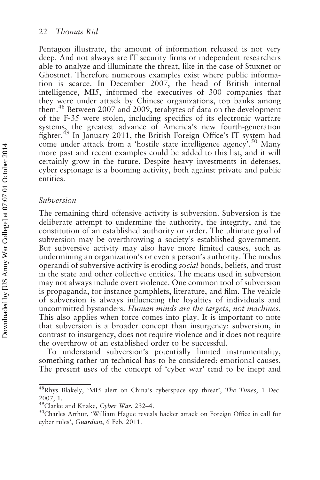Pentagon illustrate, the amount of information released is not very deep. And not always are IT security firms or independent researchers able to analyze and illuminate the threat, like in the case of Stuxnet or Ghostnet. Therefore numerous examples exist where public information is scarce. In December 2007, the head of British internal intelligence, MI5, informed the executives of 300 companies that they were under attack by Chinese organizations, top banks among them.48 Between 2007 and 2009, terabytes of data on the development of the F-35 were stolen, including specifics of its electronic warfare systems, the greatest advance of America's new fourth-generation fighter.49 In January 2011, the British Foreign Office's IT system had come under attack from a 'hostile state intelligence agency'.50 Many more past and recent examples could be added to this list, and it will certainly grow in the future. Despite heavy investments in defenses, cyber espionage is a booming activity, both against private and public entities.

#### Subversion

The remaining third offensive activity is subversion. Subversion is the deliberate attempt to undermine the authority, the integrity, and the constitution of an established authority or order. The ultimate goal of subversion may be overthrowing a society's established government. But subversive activity may also have more limited causes, such as undermining an organization's or even a person's authority. The modus operandi of subversive activity is eroding social bonds, beliefs, and trust in the state and other collective entities. The means used in subversion may not always include overt violence. One common tool of subversion is propaganda, for instance pamphlets, literature, and film. The vehicle of subversion is always influencing the loyalties of individuals and uncommitted bystanders. Human minds are the targets, not machines. This also applies when force comes into play. It is important to note that subversion is a broader concept than insurgency: subversion, in contrast to insurgency, does not require violence and it does not require the overthrow of an established order to be successful.

To understand subversion's potentially limited instrumentality, something rather un-technical has to be considered: emotional causes. The present uses of the concept of 'cyber war' tend to be inept and

<sup>&</sup>lt;sup>48</sup>Rhys Blakely, 'MI5 alert on China's cyberspace spy threat', The Times, 1 Dec. 2007, 1.<br><sup>49</sup>Clarke and Knake, Cyber War, 232–4.

 $^{50}$ Charles Arthur, 'William Hague reveals hacker attack on Foreign Office in call for cyber rules', Guardian, 6 Feb. 2011.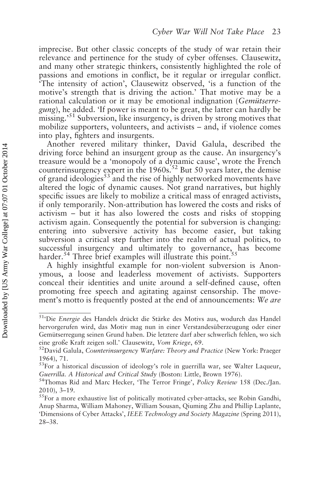imprecise. But other classic concepts of the study of war retain their relevance and pertinence for the study of cyber offenses. Clausewitz, and many other strategic thinkers, consistently highlighted the role of passions and emotions in conflict, be it regular or irregular conflict. 'The intensity of action', Clausewitz observed, 'is a function of the motive's strength that is driving the action.' That motive may be a rational calculation or it may be emotional indignation (*Gemütserre*gung), he added. 'If power is meant to be great, the latter can hardly be missing.'<sup>51</sup> Subversion, like insurgency, is driven by strong motives that mobilize supporters, volunteers, and activists – and, if violence comes into play, fighters and insurgents.

Another revered military thinker, David Galula, described the driving force behind an insurgent group as the cause. An insurgency's treasure would be a 'monopoly of a dynamic cause', wrote the French counterinsurgency expert in the  $1960s$ .<sup>52</sup> But 50 years later, the demise of grand ideologies<sup>53</sup> and the rise of highly networked movements have altered the logic of dynamic causes. Not grand narratives, but highly specific issues are likely to mobilize a critical mass of enraged activists, if only temporarily. Non-attribution has lowered the costs and risks of activism – but it has also lowered the costs and risks of stopping activism again. Consequently the potential for subversion is changing: entering into subversive activity has become easier, but taking subversion a critical step further into the realm of actual politics, to successful insurgency and ultimately to governance, has become harder.<sup>54</sup> Three brief examples will illustrate this point.<sup>55</sup>

A highly insightful example for non-violent subversion is Anonymous, a loose and leaderless movement of activists. Supporters conceal their identities and unite around a self-defined cause, often promoting free speech and agitating against censorship. The movement's motto is frequently posted at the end of announcements: We are

<sup>&</sup>lt;sup>51</sup>'Die Energie des Handels drückt die Stärke des Motivs aus, wodurch das Handel hervorgerufen wird, das Motiv mag nun in einer Verstandesüberzeugung oder einer Gemütserregung seinen Grund haben. Die letztere darf aber schwerlich fehlen, wo sich eine große Kraft zeigen soll.' Clausewitz, Vom Kriege, 69.<br><sup>52</sup>David Galula, Counterinsurgency Warfare: Theory and Practice (New York: Praeger

<sup>1964), 71.</sup>

<sup>&</sup>lt;sup>53</sup>For a historical discussion of ideology's role in guerrilla war, see Walter Laqueur, Guerrilla. A Historical and Critical Study (Boston: Little, Brown 1976).<br><sup>54</sup>Thomas Rid and Marc Hecker, 'The Terror Fringe', Policy Review 158 (Dec./Jan.

<sup>2010), 3–19.</sup>

<sup>&</sup>lt;sup>55</sup>For a more exhaustive list of politically motivated cyber-attacks, see Robin Gandhi, Anup Sharma, William Mahoney, William Sousan, Qiuming Zhu and Phillip Laplante, 'Dimensions of Cyber Attacks', IEEE Technology and Society Magazine (Spring 2011), 28–38.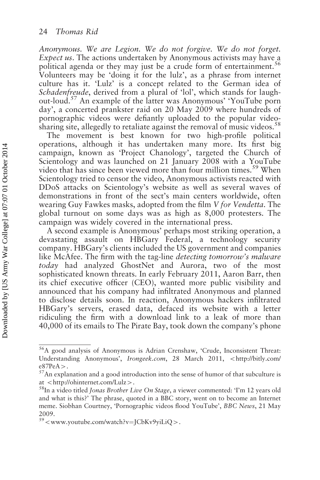Anonymous. We are Legion. We do not forgive. We do not forget. Expect us. The actions undertaken by Anonymous activists may have a political agenda or they may just be a crude form of entertainment.<sup>56</sup> Volunteers may be 'doing it for the lulz', as a phrase from internet culture has it. 'Lulz' is a concept related to the German idea of Schadenfreude, derived from a plural of 'lol', which stands for laughout-loud.57 An example of the latter was Anonymous' 'YouTube porn day', a concerted prankster raid on 20 May 2009 where hundreds of pornographic videos were defiantly uploaded to the popular videosharing site, allegedly to retaliate against the removal of music videos.<sup>58</sup>

The movement is best known for two high-profile political operations, although it has undertaken many more. Its first big campaign, known as 'Project Chanology', targeted the Church of Scientology and was launched on 21 January 2008 with a YouTube video that has since been viewed more than four million times.<sup>59</sup> When Scientology tried to censor the video, Anonymous activists reacted with DDoS attacks on Scientology's website as well as several waves of demonstrations in front of the sect's main centers worldwide, often wearing Guy Fawkes masks, adopted from the film V for Vendetta. The global turnout on some days was as high as 8,000 protesters. The campaign was widely covered in the international press.

A second example is Anonymous' perhaps most striking operation, a devastating assault on HBGary Federal, a technology security company. HBGary's clients included the US government and companies like McAfee. The firm with the tag-line *detecting tomorrow's malware* today had analyzed GhostNet and Aurora, two of the most sophisticated known threats. In early February 2011, Aaron Barr, then its chief executive officer (CEO), wanted more public visibility and announced that his company had infiltrated Anonymous and planned to disclose details soon. In reaction, Anonymous hackers infiltrated HBGary's servers, erased data, defaced its website with a letter ridiculing the firm with a download link to a leak of more than 40,000 of its emails to The Pirate Bay, took down the company's phone

<sup>56</sup>A good analysis of Anonymous is Adrian Crenshaw, 'Crude, Inconsistent Threat: Understanding Anonymous', *Irongeek.com*, 28 March 2011, <[http://bitly.com/](http://bitly.com/e87PeA)

[e87PeA](http://bitly.com/e87PeA) > .<br><sup>57</sup>An explanation and a good introduction into the sense of humor of that subculture is

at <http://ohinternet.com/Lulz>.<br><sup>58</sup>In a video titled *Jonas Brother Live On Stage*, a viewer commented: 'I'm 12 years old and what is this?' The phrase, quoted in a BBC story, went on to become an Internet meme. Siobhan Courtney, 'Pornographic videos flood YouTube', BBC News, 21 May 2009.

 $59<$ [www.youtube.com/watch?v](www.youtube.com/watch?v=JCbKv9yiLiQ)=[JCbKv9yiLiQ](www.youtube.com/watch?v=JCbKv9yiLiQ)>.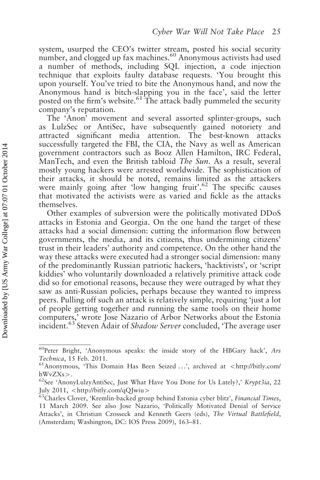system, usurped the CEO's twitter stream, posted his social security number, and clogged up fax machines.<sup>60</sup> Anonymous activists had used a number of methods, including SQL injection, a code injection technique that exploits faulty database requests. 'You brought this upon yourself. You've tried to bite the Anonymous hand, and now the Anonymous hand is bitch-slapping you in the face', said the letter posted on the firm's website.<sup>61</sup> The attack badly pummeled the security company's reputation.

The 'Anon' movement and several assorted splinter-groups, such as LulzSec or AntiSec, have subsequently gained notoriety and attracted significant media attention. The best-known attacks successfully targeted the FBI, the CIA, the Navy as well as American government contractors such as Booz Allen Hamilton, IRC Federal, ManTech, and even the British tabloid The Sun. As a result, several mostly young hackers were arrested worldwide. The sophistication of their attacks, it should be noted, remains limited as the attackers were mainly going after 'low hanging fruit'.<sup>62</sup> The specific causes that motivated the activists were as varied and fickle as the attacks themselves.

Other examples of subversion were the politically motivated DDoS attacks in Estonia and Georgia. On the one hand the target of these attacks had a social dimension: cutting the information flow between governments, the media, and its citizens, thus undermining citizens' trust in their leaders' authority and competence. On the other hand the way these attacks were executed had a stronger social dimension: many of the predominantly Russian patriotic hackers, 'hacktivists', or 'script kiddies' who voluntarily downloaded a relatively primitive attack code did so for emotional reasons, because they were outraged by what they saw as anti-Russian policies, perhaps because they wanted to impress peers. Pulling off such an attack is relatively simple, requiring 'just a lot of people getting together and running the same tools on their home computers,' wrote Jose Nazario of Arbor Networks about the Estonia incident.<sup>63</sup> Steven Adair of Shadow Server concluded, 'The average user

<sup>&</sup>lt;sup>60</sup>Peter Bright, 'Anonymous speaks: the inside story of the HBGary hack', Ars

Technica, 15 Feb. 2011.<br><sup>61</sup>Anonymous, 'This Domain Has Been Seized ...', archived at <[http://bitly.com/](http://bitly.com/hWvZXs)

[hWvZXs](http://bitly.com/hWvZXs)>.<br><sup>62</sup>See 'AnonyLulzyAntiSec, Just What Have You Done for Us Lately?,' *Krypt3ia*, 22

July 2011, <<http://bitly.com/qQJwiu>><br><sup>63</sup>Charles Clover, 'Kremlin-backed group behind Estonia cyber blitz', *Financial Times*, 11 March 2009. See also Jose Nazario, 'Politically Motivated Denial of Service Attacks', in Christian Czosseck and Kenneth Geers (eds), The Virtual Battlefield, (Amsterdam; Washington, DC: IOS Press 2009), 163–81.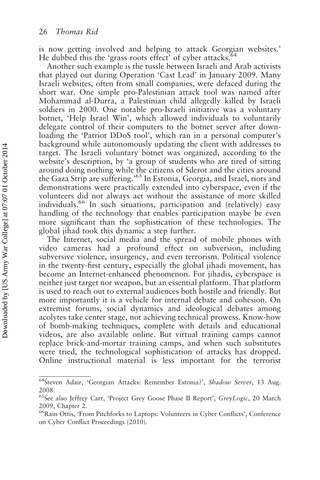is now getting involved and helping to attack Georgian websites.' He dubbed this the 'grass roots effect' of cyber attacks. $64$ 

Another such example is the tussle between Israeli and Arab activists that played out during Operation 'Cast Lead' in January 2009. Many Israeli websites, often from small companies, were defaced during the short war. One simple pro-Palestinian attack tool was named after Mohammad al-Durra, a Palestinian child allegedly killed by Israeli soldiers in 2000. One notable pro-Israeli initiative was a voluntary botnet, 'Help Israel Win', which allowed individuals to voluntarily delegate control of their computers to the botnet server after downloading the 'Patriot DDoS tool', which ran in a personal computer's background while autonomously updating the client with addresses to target. The Israeli voluntary botnet was organized, according to the website's description, by 'a group of students who are tired of sitting around doing nothing while the citizens of Sderot and the cities around the Gaza Strip are suffering.'65 In Estonia, Georgia, and Israel, riots and demonstrations were practically extended into cyberspace, even if the volunteers did not always act without the assistance of more skilled individuals.<sup>66</sup> In such situations, participation and (relatively) easy handling of the technology that enables participation maybe be even more significant than the sophistication of these technologies. The global jihad took this dynamic a step further.

The Internet, social media and the spread of mobile phones with video cameras had a profound effect on subversion, including subversive violence, insurgency, and even terrorism. Political violence in the twenty-first century, especially the global jihadi movement, has become an Internet-enhanced phenomenon. For jihadis, cyberspace is neither just target nor weapon, but an essential platform. That platform is used to reach out to external audiences both hostile and friendly. But more importantly it is a vehicle for internal debate and cohesion. On extremist forums, social dynamics and ideological debates among acolytes take center stage, not achieving technical prowess. Know-how of bomb-making techniques, complete with details and educational videos, are also available online. But virtual training camps cannot replace brick-and-mortar training camps, and when such substitutes were tried, the technological sophistication of attacks has dropped. Online instructional material is less important for the terrorist

<sup>&</sup>lt;sup>64</sup>Steven Adair, 'Georgian Attacks: Remember Estonia?', Shadow Server, 13 Aug. 2008.

<sup>&</sup>lt;sup>65</sup>See also Jeffrey Carr, 'Project Grey Goose Phase II Report', GreyLogic, 20 March 2009, Chapter 2.

<sup>&</sup>lt;sup>66</sup>Rain Ottis, 'From Pitchforks to Laptops: Volunteers in Cyber Conflicts', Conference on Cyber Conflict Proceedings (2010).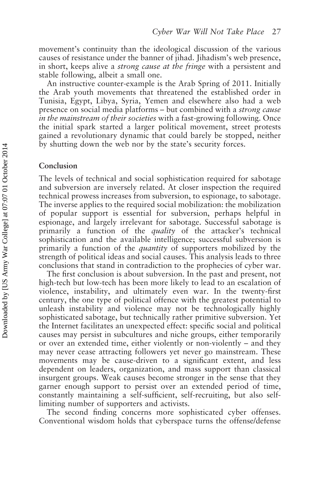movement's continuity than the ideological discussion of the various causes of resistance under the banner of jihad. Jihadism's web presence, in short, keeps alive a strong cause at the fringe with a persistent and stable following, albeit a small one.

An instructive counter-example is the Arab Spring of 2011. Initially the Arab youth movements that threatened the established order in Tunisia, Egypt, Libya, Syria, Yemen and elsewhere also had a web presence on social media platforms – but combined with a strong cause in the mainstream of their societies with a fast-growing following. Once the initial spark started a larger political movement, street protests gained a revolutionary dynamic that could barely be stopped, neither by shutting down the web nor by the state's security forces.

## Conclusion

The levels of technical and social sophistication required for sabotage and subversion are inversely related. At closer inspection the required technical prowess increases from subversion, to espionage, to sabotage. The inverse applies to the required social mobilization: the mobilization of popular support is essential for subversion, perhaps helpful in espionage, and largely irrelevant for sabotage. Successful sabotage is primarily a function of the *quality* of the attacker's technical sophistication and the available intelligence; successful subversion is primarily a function of the *quantity* of supporters mobilized by the strength of political ideas and social causes. This analysis leads to three conclusions that stand in contradiction to the prophecies of cyber war.

The first conclusion is about subversion. In the past and present, not high-tech but low-tech has been more likely to lead to an escalation of violence, instability, and ultimately even war. In the twenty-first century, the one type of political offence with the greatest potential to unleash instability and violence may not be technologically highly sophisticated sabotage, but technically rather primitive subversion. Yet the Internet facilitates an unexpected effect: specific social and political causes may persist in subcultures and niche groups, either temporarily or over an extended time, either violently or non-violently – and they may never cease attracting followers yet never go mainstream. These movements may be cause-driven to a significant extent, and less dependent on leaders, organization, and mass support than classical insurgent groups. Weak causes become stronger in the sense that they garner enough support to persist over an extended period of time, constantly maintaining a self-sufficient, self-recruiting, but also selflimiting number of supporters and activists.

The second finding concerns more sophisticated cyber offenses. Conventional wisdom holds that cyberspace turns the offense/defense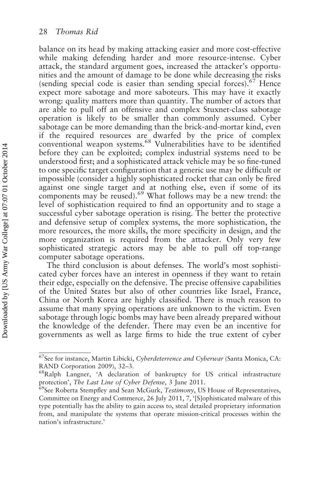balance on its head by making attacking easier and more cost-effective while making defending harder and more resource-intense. Cyber attack, the standard argument goes, increased the attacker's opportunities and the amount of damage to be done while decreasing the risks (sending special code is easier than sending special forces). $67$  Hence expect more sabotage and more saboteurs. This may have it exactly wrong: quality matters more than quantity. The number of actors that are able to pull off an offensive and complex Stuxnet-class sabotage operation is likely to be smaller than commonly assumed. Cyber sabotage can be more demanding than the brick-and-mortar kind, even if the required resources are dwarfed by the price of complex conventional weapon systems.<sup>68</sup> Vulnerabilities have to be identified before they can be exploited; complex industrial systems need to be understood first; and a sophisticated attack vehicle may be so fine-tuned to one specific target configuration that a generic use may be difficult or impossible (consider a highly sophisticated rocket that can only be fired against one single target and at nothing else, even if some of its components may be reused).<sup>69</sup> What follows may be a new trend: the level of sophistication required to find an opportunity and to stage a successful cyber sabotage operation is rising. The better the protective and defensive setup of complex systems, the more sophistication, the more resources, the more skills, the more specificity in design, and the more organization is required from the attacker. Only very few sophisticated strategic actors may be able to pull off top-range computer sabotage operations.

The third conclusion is about defenses. The world's most sophisticated cyber forces have an interest in openness if they want to retain their edge, especially on the defensive. The precise offensive capabilities of the United States but also of other countries like Israel, France, China or North Korea are highly classified. There is much reason to assume that many spying operations are unknown to the victim. Even sabotage through logic bombs may have been already prepared without the knowledge of the defender. There may even be an incentive for governments as well as large firms to hide the true extent of cyber

<sup>&</sup>lt;sup>67</sup>See for instance, Martin Libicki, Cyberdeterrence and Cyberwar (Santa Monica, CA: RAND Corporation 2009), 32–3.

<sup>68</sup>Ralph Langner, 'A declaration of bankruptcy for US critical infrastructure protection', The Last Line of Cyber Defense, 3 June 2011.<br><sup>69</sup>See Roberta Stempfley and Sean McGurk, Testimony, US House of Representatives,

Committee on Energy and Commerce, 26 July 2011, 7, '[S]ophisticated malware of this type potentially has the ability to gain access to, steal detailed proprietary information from, and manipulate the systems that operate mission-critical processes within the nation's infrastructure.'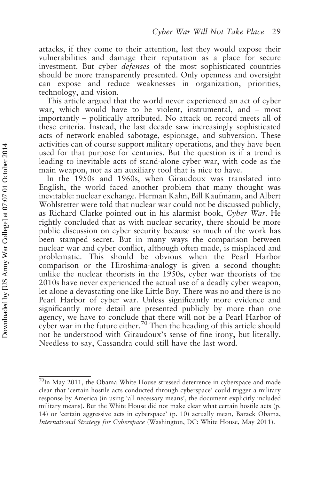attacks, if they come to their attention, lest they would expose their vulnerabilities and damage their reputation as a place for secure investment. But cyber defenses of the most sophisticated countries should be more transparently presented. Only openness and oversight can expose and reduce weaknesses in organization, priorities, technology, and vision.

This article argued that the world never experienced an act of cyber war, which would have to be violent, instrumental, and – most importantly – politically attributed. No attack on record meets all of these criteria. Instead, the last decade saw increasingly sophisticated acts of network-enabled sabotage, espionage, and subversion. These activities can of course support military operations, and they have been used for that purpose for centuries. But the question is if a trend is leading to inevitable acts of stand-alone cyber war, with code as the main weapon, not as an auxiliary tool that is nice to have.

In the 1950s and 1960s, when Giraudoux was translated into English, the world faced another problem that many thought was inevitable: nuclear exchange. Herman Kahn, Bill Kaufmann, and Albert Wohlstetter were told that nuclear war could not be discussed publicly, as Richard Clarke pointed out in his alarmist book, Cyber War. He rightly concluded that as with nuclear security, there should be more public discussion on cyber security because so much of the work has been stamped secret. But in many ways the comparison between nuclear war and cyber conflict, although often made, is misplaced and problematic. This should be obvious when the Pearl Harbor comparison or the Hiroshima-analogy is given a second thought: unlike the nuclear theorists in the 1950s, cyber war theorists of the 2010s have never experienced the actual use of a deadly cyber weapon, let alone a devastating one like Little Boy. There was no and there is no Pearl Harbor of cyber war. Unless significantly more evidence and significantly more detail are presented publicly by more than one agency, we have to conclude that there will not be a Pearl Harbor of cyber war in the future either.<sup>70</sup> Then the heading of this article should not be understood with Giraudoux's sense of fine irony, but literally. Needless to say, Cassandra could still have the last word.

 $^{70}$ In May 2011, the Obama White House stressed deterrence in cyberspace and made clear that 'certain hostile acts conducted through cyberspace' could trigger a military response by America (in using 'all necessary means', the document explicitly included military means). But the White House did not make clear what certain hostile acts (p. 14) or 'certain aggressive acts in cyberspace' (p. 10) actually mean, Barack Obama, International Strategy for Cyberspace (Washington, DC: White House, May 2011).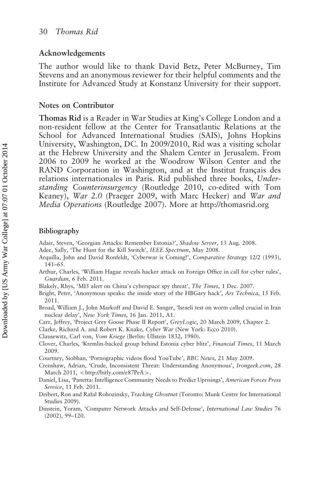#### Acknowledgements

The author would like to thank David Betz, Peter McBurney, Tim Stevens and an anonymous reviewer for their helpful comments and the Institute for Advanced Study at Konstanz University for their support.

# Notes on Contributor

Thomas Rid is a Reader in War Studies at King's College London and a non-resident fellow at the Center for Transatlantic Relations at the School for Advanced International Studies (SAIS), Johns Hopkins University, Washington, DC. In 2009/2010, Rid was a visiting scholar at the Hebrew University and the Shalem Center in Jerusalem. From 2006 to 2009 he worked at the Woodrow Wilson Center and the RAND Corporation in Washington, and at the Institut français des relations internationales in Paris. Rid published three books, Understanding Counterinsurgency (Routledge 2010, co-edited with Tom Keaney), War 2.0 (Praeger 2009, with Marc Hecker) and War and Media Operations (Routledge 2007). More at http://thomasrid.org

## Bibliography

Adair, Steven, 'Georgian Attacks: Remember Estonia?', Shadow Server, 13 Aug. 2008.

- Adee, Sally, 'The Hunt for the Kill Switch', IEEE Spectrum, May 2008.
- Arquilla, John and David Ronfeldt, 'Cyberwar is Coming!', Comparative Strategy 12/2 (1993), 141–65.
- Arthur, Charles, 'William Hague reveals hacker attack on Foreign Office in call for cyber rules', Guardian, 6 Feb. 2011.
- Blakely, Rhys, 'MI5 alert on China's cyberspace spy threat', The Times, 1 Dec. 2007.
- Bright, Peter, 'Anonymous speaks: the inside story of the HBGary hack', Ars Technica, 15 Feb. 2011.

Broad, William J., John Markoff and David E. Sanger, 'Israeli test on worm called crucial in Iran nuclear delay', New York Times, 16 Jan. 2011, A1.

- Carr, Jeffrey, 'Project Grey Goose Phase II Report', GreyLogic, 20 March 2009, Chapter 2.
- Clarke, Richard A. and Robert K. Knake, Cyber War (New York: Ecco 2010).
- Clausewitz, Carl von, Vom Kriege (Berlin: Ullstein 1832, 1980).
- Clover, Charles, 'Kremlin-backed group behind Estonia cyber blitz', Financial Times, 11 March 2009.

Courtney, Siobhan, 'Pornographic videos flood YouTube', BBC News, 21 May 2009.

Crenshaw, Adrian, 'Crude, Inconsistent Threat: Understanding Anonymous', Irongeek.com, 28 March 2011, <[http://bitly.com/e87PeA](http://j.mp/e87PeA)>.

- Daniel, Lisa, 'Panetta: Intelligence Community Needs to Predict Uprisings', American Forces Press Service, 11 Feb. 2011.
- Deibert, Ron and Rafal Rohozinsky, Tracking Ghostnet (Toronto: Munk Centre for International Studies 2009).
- Dinstein, Yoram, 'Computer Network Attacks and Self-Defense', International Law Studies 76 (2002), 99–120.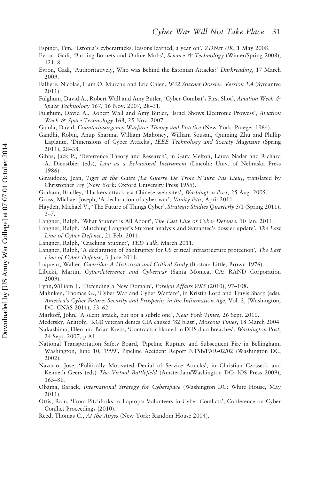Espiner, Tim, 'Estonia's cyberattacks: lessons learned, a year on', ZDNet UK, 1 May 2008.

- Evron, Gadi, 'Battling Botnets and Online Mobs', Science & Technology (Winter/Spring 2008), 121–8.
- Evron, Gadi, 'Authoritatively, Who was Behind the Estonian Attacks?' Darkreading, 17 March 2009.
- Falliere, Nicolas, Liam O. Murchu and Eric Chien, W32.Stuxnet Dossier. Version 1.4 (Symantec 2011).
- Fulghum, David A., Robert Wall and Amy Butler, 'Cyber-Combat's First Shot', Aviation Week & Space Technology 167, 16 Nov. 2007, 28–31.
- Fulghum, David A., Robert Wall and Amy Butler, 'Israel Shows Electronic Prowess', Aviation Week & Space Technology 168, 25 Nov. 2007.
- Galula, David, Counterinsurgency Warfare: Theory and Practice (New York: Praeger 1964).
- Gandhi, Robin, Anup Sharma, William Mahoney, William Sousan, Qiuming Zhu and Phillip Laplante, 'Dimensions of Cyber Attacks', IEEE Technology and Society Magazine (Spring 2011), 28–38.
- Gibbs, Jack P., 'Deterrence Theory and Research', in Gary Melton, Laura Nader and Richard A. Dienstbier (eds), Law as a Behavioral Instrument (Lincoln: Univ. of Nebraska Press 1986).
- Giraudoux, Jean, Tiger at the Gates [La Guerre De Troie N'aura Pas Lieu], translated by Christopher Fry (New York: Oxford University Press 1955).
- Graham, Bradley, 'Hackers attack via Chinese web sites', Washington Post, 25 Aug. 2005.
- Gross, Michael Joseph, 'A declaration of cyber-war', Vanity Fair, April 2011.
- Hayden, Michael V., 'The Future of Things Cyber', Strategic Studies Quarterly 5/1 (Spring 2011),  $3 - 7.$
- Langner, Ralph, 'What Stuxnet is All About', The Last Line of Cyber Defense, 10 Jan. 2011.
- Langner, Ralph, 'Matching Langner's Stuxnet analysis and Symantec's dossier update', The Last Line of Cyber Defense, 21 Feb. 2011.
- Langner, Ralph, 'Cracking Stuxnet', TED Talk, March 2011.
- Langner, Ralph, 'A declaration of bankruptcy for US critical infrastructure protection', The Last Line of Cyber Defense, 3 June 2011.
- Laqueur, Walter, Guerrilla: A Historical and Critical Study (Boston: Little, Brown 1976).
- Libicki, Martin, Cyberdeterrence and Cyberwar (Santa Monica, CA: RAND Corporation 2009).
- Lynn,William J., 'Defending a New Domain', Foreign Affairs 89/5 (2010), 97–108.
- Mahnken, Thomas G., 'Cyber War and Cyber Warfare', in Kristin Lord and Travis Sharp (eds), America's Cyber Future: Security and Prosperity in the Information Age, Vol. 2, (Washington, DC: CNAS 2011), 53–62.
- Markoff, John, 'A silent attack, but not a subtle one', New York Times, 26 Sept. 2010.
- Medetsky, Anatoly, 'KGB veteran denies CIA caused '82 blast', Moscow Times, 18 March 2004. Nakashima, Ellen and Brian Krebs, 'Contractor blamed in DHS data breaches', Washington Post,
- 24 Sept. 2007, p.A1.
- National Transportation Safety Board, 'Pipeline Rupture and Subsequent Fire in Bellingham, Washington, June 10, 1999', Pipeline Accident Report NTSB/PAR-02/02 (Washington DC, 2002).
- Nazario, Jose, 'Politically Motivated Denial of Service Attacks', in Christian Czosseck and Kenneth Geers (eds) The Virtual Battlefield (Amsterdam/Washington DC: IOS Press 2009), 163–81.
- Obama, Barack, International Strategy for Cyberspace (Washington DC: White House, May 2011).
- Ottis, Rain, 'From Pitchforks to Laptops: Volunteers in Cyber Conflicts', Conference on Cyber Conflict Proceedings (2010).
- Reed, Thomas C., At the Abyss (New York: Random House 2004).